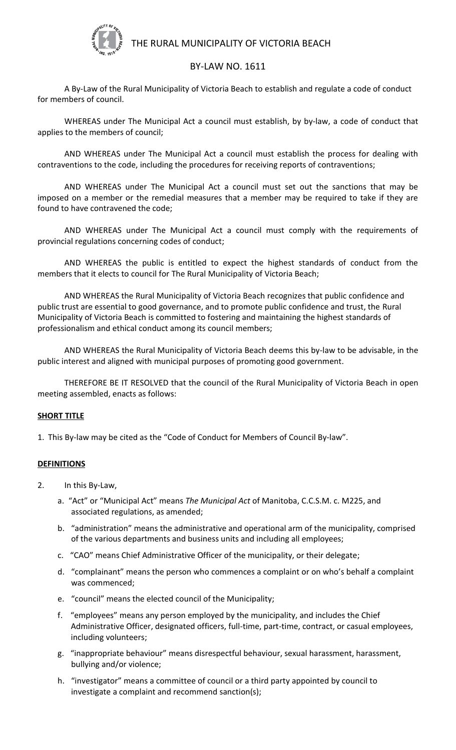

# THE RURAL MUNICIPALITY OF VICTORIA BEACH

## BY-LAW NO. 1611

A By-Law of the Rural Municipality of Victoria Beach to establish and regulate a code of conduct for members of council.

WHEREAS under The Municipal Act a council must establish, by by-law, a code of conduct that applies to the members of council;

AND WHEREAS under The Municipal Act a council must establish the process for dealing with contraventions to the code, including the procedures for receiving reports of contraventions;

AND WHEREAS under The Municipal Act a council must set out the sanctions that may be imposed on a member or the remedial measures that a member may be required to take if they are found to have contravened the code;

AND WHEREAS under The Municipal Act a council must comply with the requirements of provincial regulations concerning codes of conduct;

AND WHEREAS the public is entitled to expect the highest standards of conduct from the members that it elects to council for The Rural Municipality of Victoria Beach;

AND WHEREAS the Rural Municipality of Victoria Beach recognizes that public confidence and public trust are essential to good governance, and to promote public confidence and trust, the Rural Municipality of Victoria Beach is committed to fostering and maintaining the highest standards of professionalism and ethical conduct among its council members;

AND WHEREAS the Rural Municipality of Victoria Beach deems this by-law to be advisable, in the public interest and aligned with municipal purposes of promoting good government.

THEREFORE BE IT RESOLVED that the council of the Rural Municipality of Victoria Beach in open meeting assembled, enacts as follows:

### **SHORT TITLE**

1. This By-law may be cited as the "Code of Conduct for Members of Council By-law".

### **DEFINITIONS**

- 2. In this By-Law,
	- a. "Act" or "Municipal Act" means *The Municipal Act* of Manitoba, C.C.S.M. c. M225, and associated regulations, as amended;
	- b. "administration" means the administrative and operational arm of the municipality, comprised of the various departments and business units and including all employees;
	- c. "CAO" means Chief Administrative Officer of the municipality, or their delegate;
	- d. "complainant" means the person who commences a complaint or on who's behalf a complaint was commenced;
	- e. "council" means the elected council of the Municipality;
	- f. "employees" means any person employed by the municipality, and includes the Chief Administrative Officer, designated officers, full-time, part-time, contract, or casual employees, including volunteers;
	- g. "inappropriate behaviour" means disrespectful behaviour, sexual harassment, harassment, bullying and/or violence;
	- h. "investigator" means a committee of council or a third party appointed by council to investigate a complaint and recommend sanction(s);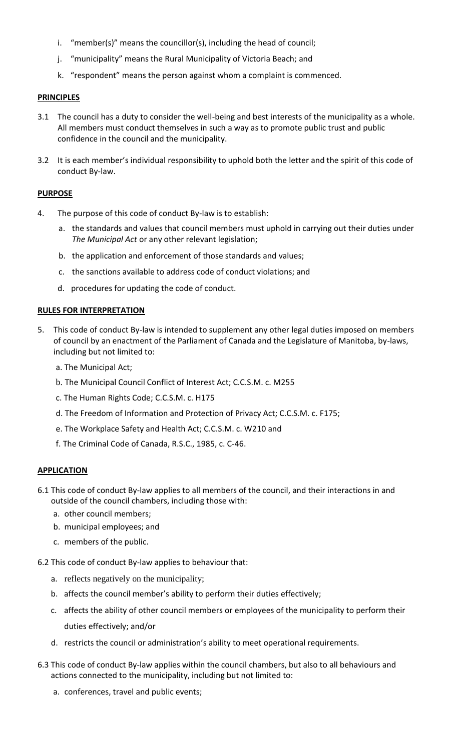- i. "member(s)" means the councillor(s), including the head of council;
- j. "municipality" means the Rural Municipality of Victoria Beach; and
- k. "respondent" means the person against whom a complaint is commenced.

## **PRINCIPLES**

- 3.1 The council has a duty to consider the well-being and best interests of the municipality as a whole. All members must conduct themselves in such a way as to promote public trust and public confidence in the council and the municipality.
- 3.2 It is each member's individual responsibility to uphold both the letter and the spirit of this code of conduct By-law.

### **PURPOSE**

- 4. The purpose of this code of conduct By-law is to establish:
	- a. the standards and values that council members must uphold in carrying out their duties under *The Municipal Act* or any other relevant legislation;
	- b. the application and enforcement of those standards and values;
	- c. the sanctions available to address code of conduct violations; and
	- d. procedures for updating the code of conduct.

### **RULES FOR INTERPRETATION**

- 5. This code of conduct By-law is intended to supplement any other legal duties imposed on members of council by an enactment of the Parliament of Canada and the Legislature of Manitoba, by-laws, including but not limited to:
	- a. The Municipal Act;
	- b. The Municipal Council Conflict of Interest Act; C.C.S.M. c. M255
	- c. The Human Rights Code; C.C.S.M. c. H175
	- d. The Freedom of Information and Protection of Privacy Act; C.C.S.M. c. F175;
	- e. The Workplace Safety and Health Act; C.C.S.M. c. W210 and
	- f. The Criminal Code of Canada, R.S.C., 1985, c. C-46.

### **APPLICATION**

- 6.1 This code of conduct By-law applies to all members of the council, and their interactions in and outside of the council chambers, including those with:
	- a. other council members;
	- b. municipal employees; and
	- c. members of the public.
- 6.2 This code of conduct By-law applies to behaviour that:
	- a. reflects negatively on the municipality;
	- b. affects the council member's ability to perform their duties effectively;
	- c. affects the ability of other council members or employees of the municipality to perform their duties effectively; and/or
	- d. restricts the council or administration's ability to meet operational requirements.
- 6.3 This code of conduct By-law applies within the council chambers, but also to all behaviours and actions connected to the municipality, including but not limited to:
	- a. conferences, travel and public events;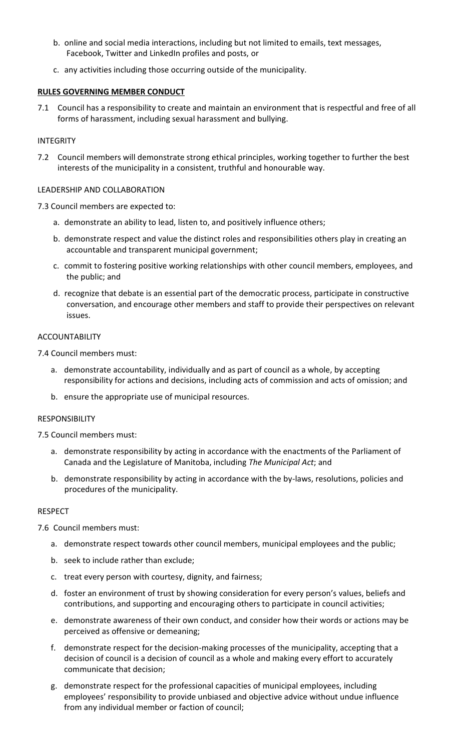- b. online and social media interactions, including but not limited to emails, text messages, Facebook, Twitter and LinkedIn profiles and posts, or
- c. any activities including those occurring outside of the municipality.

## **RULES GOVERNING MEMBER CONDUCT**

7.1 Council has a responsibility to create and maintain an environment that is respectful and free of all forms of harassment, including sexual harassment and bullying.

### INTEGRITY

7.2 Council members will demonstrate strong ethical principles, working together to further the best interests of the municipality in a consistent, truthful and honourable way.

### LEADERSHIP AND COLLABORATION

7.3 Council members are expected to:

- a. demonstrate an ability to lead, listen to, and positively influence others;
- b. demonstrate respect and value the distinct roles and responsibilities others play in creating an accountable and transparent municipal government;
- c. commit to fostering positive working relationships with other council members, employees, and the public; and
- d. recognize that debate is an essential part of the democratic process, participate in constructive conversation, and encourage other members and staff to provide their perspectives on relevant issues.

### ACCOUNTABILITY

7.4 Council members must:

- a. demonstrate accountability, individually and as part of council as a whole, by accepting responsibility for actions and decisions, including acts of commission and acts of omission; and
- b. ensure the appropriate use of municipal resources.

### RESPONSIBILITY

7.5 Council members must:

- a. demonstrate responsibility by acting in accordance with the enactments of the Parliament of Canada and the Legislature of Manitoba, including *The Municipal Act*; and
- b. demonstrate responsibility by acting in accordance with the by-laws, resolutions, policies and procedures of the municipality.

### RESPECT

7.6 Council members must:

- a. demonstrate respect towards other council members, municipal employees and the public;
- b. seek to include rather than exclude;
- c. treat every person with courtesy, dignity, and fairness;
- d. foster an environment of trust by showing consideration for every person's values, beliefs and contributions, and supporting and encouraging others to participate in council activities;
- e. demonstrate awareness of their own conduct, and consider how their words or actions may be perceived as offensive or demeaning;
- f. demonstrate respect for the decision-making processes of the municipality, accepting that a decision of council is a decision of council as a whole and making every effort to accurately communicate that decision;
- g. demonstrate respect for the professional capacities of municipal employees, including employees' responsibility to provide unbiased and objective advice without undue influence from any individual member or faction of council;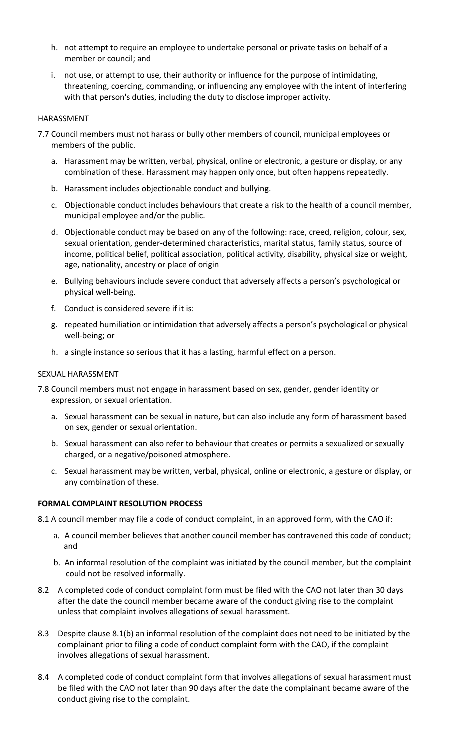- h. not attempt to require an employee to undertake personal or private tasks on behalf of a member or council; and
- i. not use, or attempt to use, their authority or influence for the purpose of intimidating, threatening, coercing, commanding, or influencing any employee with the intent of interfering with that person's duties, including the duty to disclose improper activity.

### HARASSMENT

- 7.7 Council members must not harass or bully other members of council, municipal employees or members of the public.
	- a. Harassment may be written, verbal, physical, online or electronic, a gesture or display, or any combination of these. Harassment may happen only once, but often happens repeatedly.
	- b. Harassment includes objectionable conduct and bullying.
	- c. Objectionable conduct includes behaviours that create a risk to the health of a council member, municipal employee and/or the public.
	- d. Objectionable conduct may be based on any of the following: race, creed, religion, colour, sex, sexual orientation, gender-determined characteristics, marital status, family status, source of income, political belief, political association, political activity, disability, physical size or weight, age, nationality, ancestry or place of origin
	- e. Bullying behaviours include severe conduct that adversely affects a person's psychological or physical well-being.
	- f. Conduct is considered severe if it is:
	- g. repeated humiliation or intimidation that adversely affects a person's psychological or physical well-being; or
	- h. a single instance so serious that it has a lasting, harmful effect on a person.

#### SEXUAL HARASSMENT

- 7.8 Council members must not engage in harassment based on sex, gender, gender identity or expression, or sexual orientation.
	- a. Sexual harassment can be sexual in nature, but can also include any form of harassment based on sex, gender or sexual orientation.
	- b. Sexual harassment can also refer to behaviour that creates or permits a sexualized or sexually charged, or a negative/poisoned atmosphere.
	- c. Sexual harassment may be written, verbal, physical, online or electronic, a gesture or display, or any combination of these.

### **FORMAL COMPLAINT RESOLUTION PROCESS**

- 8.1 A council member may file a code of conduct complaint, in an approved form, with the CAO if:
	- a. A council member believes that another council member has contravened this code of conduct; and
	- b. An informal resolution of the complaint was initiated by the council member, but the complaint could not be resolved informally.
- 8.2 A completed code of conduct complaint form must be filed with the CAO not later than 30 days after the date the council member became aware of the conduct giving rise to the complaint unless that complaint involves allegations of sexual harassment.
- 8.3 Despite clause 8.1(b) an informal resolution of the complaint does not need to be initiated by the complainant prior to filing a code of conduct complaint form with the CAO, if the complaint involves allegations of sexual harassment.
- 8.4 A completed code of conduct complaint form that involves allegations of sexual harassment must be filed with the CAO not later than 90 days after the date the complainant became aware of the conduct giving rise to the complaint.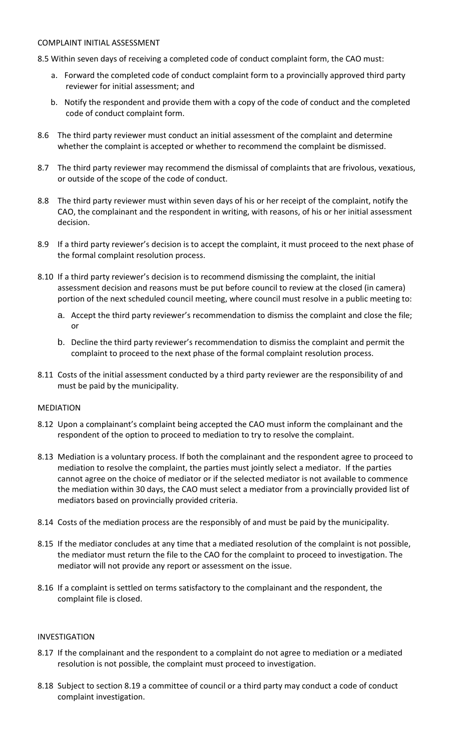### COMPLAINT INITIAL ASSESSMENT

- 8.5 Within seven days of receiving a completed code of conduct complaint form, the CAO must:
	- a. Forward the completed code of conduct complaint form to a provincially approved third party reviewer for initial assessment; and
	- b. Notify the respondent and provide them with a copy of the code of conduct and the completed code of conduct complaint form.
- 8.6 The third party reviewer must conduct an initial assessment of the complaint and determine whether the complaint is accepted or whether to recommend the complaint be dismissed.
- 8.7 The third party reviewer may recommend the dismissal of complaints that are frivolous, vexatious, or outside of the scope of the code of conduct.
- 8.8 The third party reviewer must within seven days of his or her receipt of the complaint, notify the CAO, the complainant and the respondent in writing, with reasons, of his or her initial assessment decision.
- 8.9 If a third party reviewer's decision is to accept the complaint, it must proceed to the next phase of the formal complaint resolution process.
- 8.10 If a third party reviewer's decision is to recommend dismissing the complaint, the initial assessment decision and reasons must be put before council to review at the closed (in camera) portion of the next scheduled council meeting, where council must resolve in a public meeting to:
	- a. Accept the third party reviewer's recommendation to dismiss the complaint and close the file; or
	- b. Decline the third party reviewer's recommendation to dismiss the complaint and permit the complaint to proceed to the next phase of the formal complaint resolution process.
- 8.11 Costs of the initial assessment conducted by a third party reviewer are the responsibility of and must be paid by the municipality.

### MEDIATION

- 8.12 Upon a complainant's complaint being accepted the CAO must inform the complainant and the respondent of the option to proceed to mediation to try to resolve the complaint.
- 8.13 Mediation is a voluntary process. If both the complainant and the respondent agree to proceed to mediation to resolve the complaint, the parties must jointly select a mediator. If the parties cannot agree on the choice of mediator or if the selected mediator is not available to commence the mediation within 30 days, the CAO must select a mediator from a provincially provided list of mediators based on provincially provided criteria.
- 8.14 Costs of the mediation process are the responsibly of and must be paid by the municipality.
- 8.15 If the mediator concludes at any time that a mediated resolution of the complaint is not possible, the mediator must return the file to the CAO for the complaint to proceed to investigation. The mediator will not provide any report or assessment on the issue.
- 8.16 If a complaint is settled on terms satisfactory to the complainant and the respondent, the complaint file is closed.

### INVESTIGATION

- 8.17 If the complainant and the respondent to a complaint do not agree to mediation or a mediated resolution is not possible, the complaint must proceed to investigation.
- 8.18 Subject to section 8.19 a committee of council or a third party may conduct a code of conduct complaint investigation.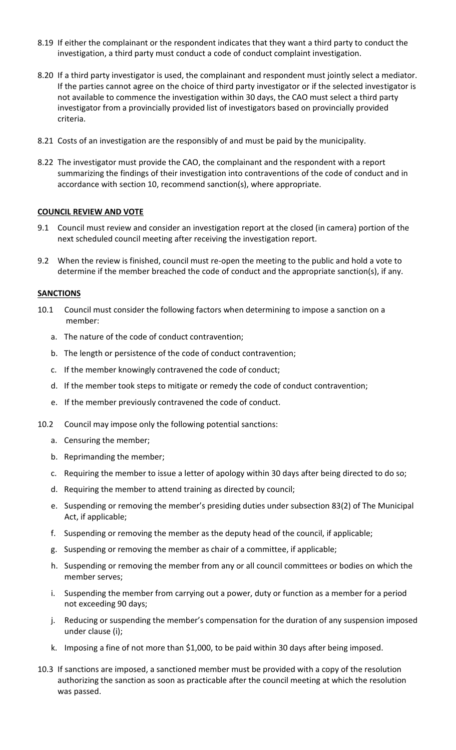- 8.19 If either the complainant or the respondent indicates that they want a third party to conduct the investigation, a third party must conduct a code of conduct complaint investigation.
- 8.20 If a third party investigator is used, the complainant and respondent must jointly select a mediator. If the parties cannot agree on the choice of third party investigator or if the selected investigator is not available to commence the investigation within 30 days, the CAO must select a third party investigator from a provincially provided list of investigators based on provincially provided criteria.
- 8.21 Costs of an investigation are the responsibly of and must be paid by the municipality.
- 8.22 The investigator must provide the CAO, the complainant and the respondent with a report summarizing the findings of their investigation into contraventions of the code of conduct and in accordance with section 10, recommend sanction(s), where appropriate.

### **COUNCIL REVIEW AND VOTE**

- 9.1 Council must review and consider an investigation report at the closed (in camera) portion of the next scheduled council meeting after receiving the investigation report.
- 9.2 When the review is finished, council must re-open the meeting to the public and hold a vote to determine if the member breached the code of conduct and the appropriate sanction(s), if any.

### **SANCTIONS**

- 10.1 Council must consider the following factors when determining to impose a sanction on a member:
	- a. The nature of the code of conduct contravention;
	- b. The length or persistence of the code of conduct contravention;
	- c. If the member knowingly contravened the code of conduct;
	- d. If the member took steps to mitigate or remedy the code of conduct contravention;
	- e. If the member previously contravened the code of conduct.
- 10.2 Council may impose only the following potential sanctions:
	- a. Censuring the member;
	- b. Reprimanding the member;
	- c. Requiring the member to issue a letter of apology within 30 days after being directed to do so;
	- d. Requiring the member to attend training as directed by council;
	- e. Suspending or removing the member's presiding duties under subsection 83(2) of The Municipal Act, if applicable;
	- f. Suspending or removing the member as the deputy head of the council, if applicable;
	- g. Suspending or removing the member as chair of a committee, if applicable;
	- h. Suspending or removing the member from any or all council committees or bodies on which the member serves;
	- i. Suspending the member from carrying out a power, duty or function as a member for a period not exceeding 90 days;
	- j. Reducing or suspending the member's compensation for the duration of any suspension imposed under clause (i);
	- k. Imposing a fine of not more than \$1,000, to be paid within 30 days after being imposed.
- 10.3 If sanctions are imposed, a sanctioned member must be provided with a copy of the resolution authorizing the sanction as soon as practicable after the council meeting at which the resolution was passed.